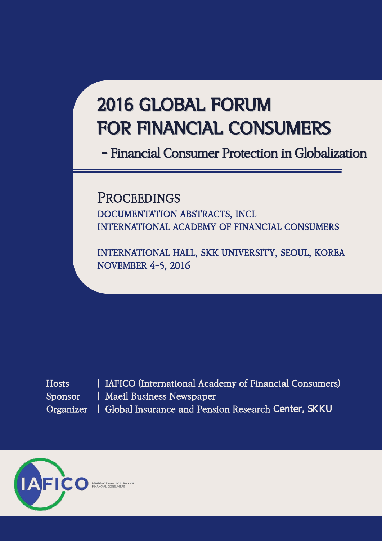# 2016 GLOBAL FORUM FOR FINANCIAL CONSUMERS

- Financial Consumer Protection in Globalization

**PROCEEDINGS** DOCUMENTATION ABSTRACTS, INCL INTERNATIONAL ACADEMY OF FINANCIAL CONSUMERS

INTERNATIONAL HALL, SKK UNIVERSITY, SEOUL, KOREA NOVEMBER 4-5, 2016

| Hosts     |
|-----------|
| Sponsor   |
| Organizer |

i

| IAFICO (International Academy of Financial Consumers) | Maeil Business Newspaper | Global Insurance and Pension Research Center, SKKU

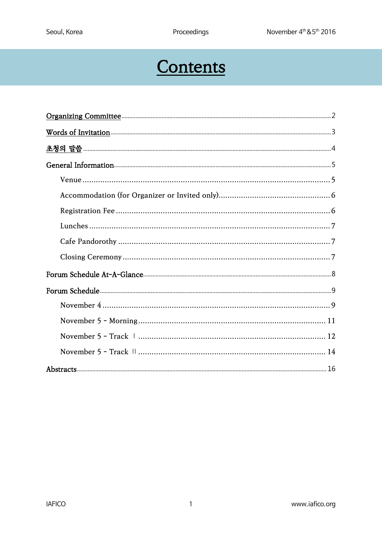## Contents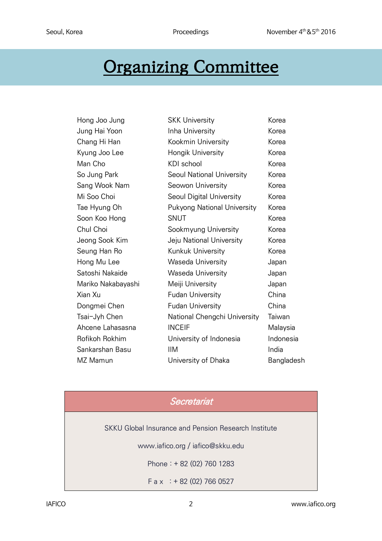## <span id="page-2-0"></span>Organizing Committee

| Hong Joo Jung      | <b>SKK University</b>              | Korea      |
|--------------------|------------------------------------|------------|
| Jung Hai Yoon      | Inha University                    | Korea      |
| Chang Hi Han       | Kookmin University                 | Korea      |
| Kyung Joo Lee      | Hongik University                  | Korea      |
| Man Cho            | KDI school                         | Korea      |
| So Jung Park       | <b>Seoul National University</b>   | Korea      |
| Sang Wook Nam      | Seowon University                  | Korea      |
| Mi Soo Choi        | Seoul Digital University           | Korea      |
| Tae Hyung Oh       | <b>Pukyong National University</b> | Korea      |
| Soon Koo Hong      | <b>SNUT</b>                        | Korea      |
| Chul Choi          | Sookmyung University               | Korea      |
| Jeong Sook Kim     | Jeju National University           | Korea      |
| Seung Han Ro       | Kunkuk University                  | Korea      |
| Hong Mu Lee        | Waseda University                  | Japan      |
| Satoshi Nakaide    | Waseda University                  | Japan      |
| Mariko Nakabayashi | Meiji University                   | Japan      |
| Xian Xu            | <b>Fudan University</b>            | China      |
| Dongmei Chen       | <b>Fudan University</b>            | China      |
| Tsai-Jyh Chen      | National Chengchi University       | Taiwan     |
| Ahcene Lahasasna   | <b>INCEIF</b>                      | Malaysia   |
| Rofikoh Rokhim     | University of Indonesia            | Indonesia  |
| Sankarshan Basu    | <b>IIM</b>                         | India      |
| MZ Mamun           | University of Dhaka                | Bangladesh |

### Secretariat

SKKU Global Insurance and Pension Research Institute

www.iafico.org / iafico@skku.edu

Phone : + 82 (02) 760 1283

 $F$  a x  $: +82(02)$  766 0527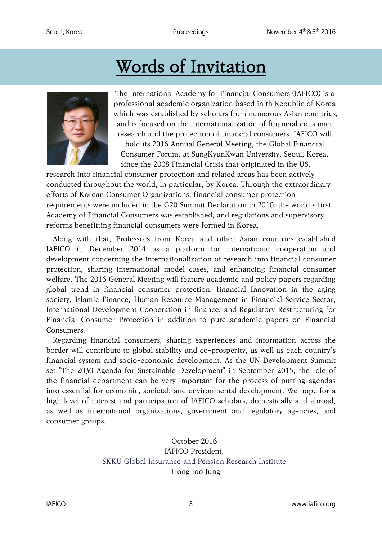# Words of Invitation

<span id="page-3-0"></span>

The International Academy for Financial Consumers (IAFICO) is a professional academic organization based in th Republic of Korea which was established by scholars from numerous Asian countries, and is focused on the internationalization of financial consumer research and the protection of financial consumers. IAFICO will hold its 2016 Annual General Meeting, the Global Financial Consumer Forum, at SungKyunKwan University, Seoul, Korea. Since the 2008 Financial Crisis that originated in the US,

research into financial consumer protection and related areas has been actively conducted throughout the world, in particular, by Korea. Through the extraordinary efforts of Korean Consumer Organizations, financial consumer protection requirements were included in the G20 Summit Declaration in 2010, the world's first Academy of Financial Consumers was established, and regulations and supervisory reforms benefitting financial consumers were formed in Korea.

Along with that, Professors from Korea and other Asian countries established IAFICO in December 2014 as a platform for international cooperation and development concerning the internationalization of research into financial consumer protection, sharing international model cases, and enhancing financial consumer welfare. The 2016 General Meeting will feature academic and policy papers regarding global trend in financial consumer protection, financial Innovation in the aging society, Islamic Finance, Human Resource Management in Financial Service Sector, International Development Cooperation in finance, and Regulatory Restructuring for Financial Consumer Protection in addition to pure academic papers on Financial Consumers.

Regarding financial consumers, sharing experiences and information across the border will contribute to global stability and co-prosperity, as well as each country's financial system and socio-economic development. As the UN Development Summit set "The 2030 Agenda for Sustainable Development" in September 2015, the role of the financial department can be very important for the process of putting agendas into essential for economic, societal, and environmental development. We hope for a high level of interest and participation of IAFICO scholars, domestically and abroad, as well as international organizations, government and regulatory agencies, and consumer groups.

#### October 2016 IAFICO President, SKKU Global Insurance and Pension Research Institute Hong Joo Jung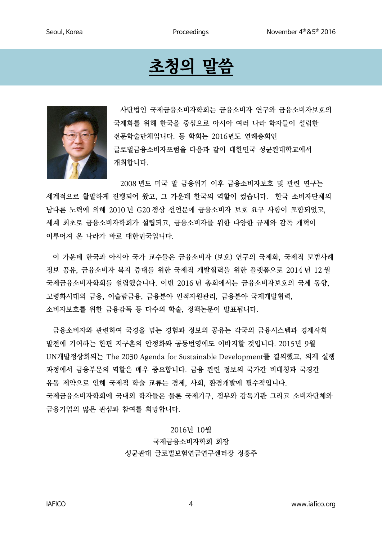## 초청의 말씀

<span id="page-4-0"></span>

사단법인 국제금융소비자학회는 금융소비자 연구와 금융소비자보호의 국제화를 위해 한국을 중심으로 아시아 여러 나라 학자들이 설립한 전문학술단체입니다. 동 학회는 2016년도 연례총회인 글로벌금융소비자포럼을 다음과 같이 대한민국 성균관대학교에서 개최합니다.

2008 년도 미국 발 금융위기 이후 금융소비자보호 및 관련 연구는 세계적으로 활발하게 진행되어 왔고, 그 가운데 한국의 역할이 컸습니다. 한국 소비자단체의 남다른 노력에 의해 2010 년 G20 정상 선언문에 금융소비자 보호 요구 사항이 포함되었고, 세계 최초로 금융소비자학회가 설립되고, 금융소비자를 위한 다양한 규제와 감독 개혁이 이루어져 온 나라가 바로 대한민국입니다.

이 가운데 한국과 아시아 국가 교수들은 금융소비자 (보호) 연구의 국제화, 국제적 모범사례 정보 공유, 금융소비자 복지 증대를 위한 국제적 개발협력을 위한 플랫폼으로 2014 년 12 월 국제금융소비자학회를 설립했습니다. 이번 2016 년 총회에서는 금융소비자보호의 국제 동향, 고령화시대의 금융, 이슬람금융, 금융분야 인적자원관리, 금융분야 국제개발협력, 소비자보호를 위한 금융감독 등 다수의 학술, 정책논문이 발표됩니다.

금융소비자와 관련하여 국경을 넘는 경험과 정보의 공유는 각국의 금융시스템과 경제사회 발전에 기여하는 한편 지구촌의 안정화와 공동번영에도 이바지할 것입니다. 2015년 9월 UN개발정상회의는 The 2030 Agenda for Sustainable Development를 결의했고, 의제 실행 과정에서 금융부문의 역할은 매우 중요합니다. 금융 관련 정보의 국가간 비대칭과 국경간 유통 제약으로 인해 국제적 학술 교류는 경제, 사회, 환경개발에 필수적입니다. 국제금융소비자학회에 국내외 학자들은 물론 국제기구, 정부와 감독기관 그리고 소비자단체와 금융기업의 많은 관심과 참여를 희망합니다.

> 2016년 10월 국제금융소비자학회 회장 성균관대 글로벌보험연금연구센터장 정홍주

IAFICO 4 www.iafico.org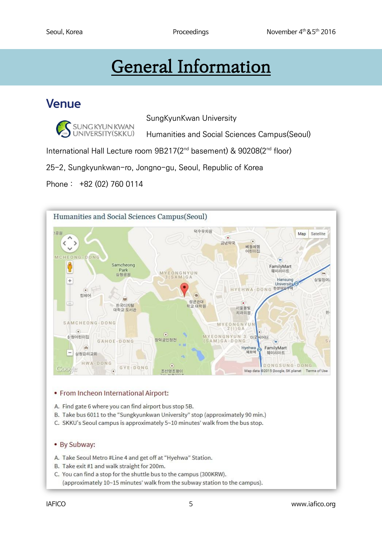# General Information

### <span id="page-5-0"></span>Venue

SUNG KYUN KWAN<br>UNIVERSITY (SKKU)

SungKyunKwan University

Humanities and Social Sciences Campus(Seoul)

International Hall Lecture room 9B217(2<sup>nd</sup> basement) & 90208(2<sup>nd</sup> floor)

25-2, Sungkyunkwan-ro, Jongno-gu, Seoul, Republic of Korea

Phone : +82 (02) 760 0114



#### • From Incheon International Airport:

A. Find gate 6 where you can find airport bus stop 5B.

- B. Take bus 6011 to the "Sungkyunkwan University" stop (approximately 90 min.)
- C. SKKU's Seoul campus is approximately 5~10 minutes' walk from the bus stop.

#### • By Subway:

- A. Take Seoul Metro #Line 4 and get off at "Hyehwa" Station.
- B. Take exit #1 and walk straight for 200m.
- C. You can find a stop for the shuttle bus to the campus (300KRW). (approximately 10~15 minutes' walk from the subway station to the campus).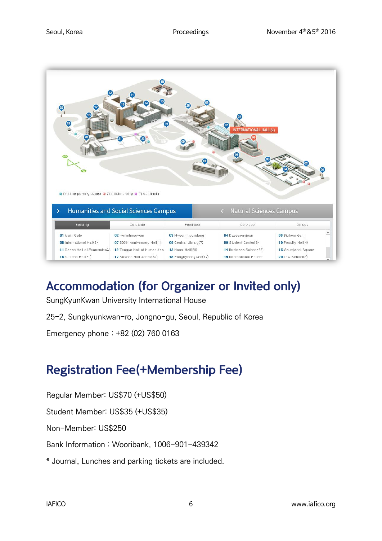

## <span id="page-6-0"></span>Accommodation (for Organizer or Invited only)

SungKyunKwan University International House

25-2, Sungkyunkwan-ro, Jongno-gu, Seoul, Republic of Korea

Emergency phone : +82 (02) 760 0163

### <span id="page-6-1"></span>Registration Fee(+Membership Fee)

Regular Member: US\$70 (+US\$50)

Student Member: US\$35 (+US\$35)

Non-Member: US\$250

Bank Information : Wooribank, 1006-901-439342

\* Journal, Lunches and parking tickets are included.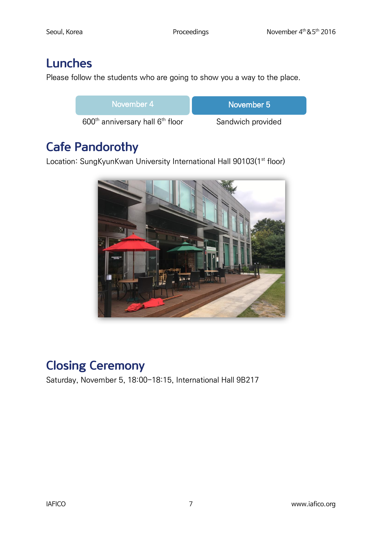## <span id="page-7-0"></span>Lunches

Please follow the students who are going to show you a way to the place.

| November 4                                               | ⊧November 5       |
|----------------------------------------------------------|-------------------|
| 600 <sup>th</sup> anniversary hall 6 <sup>th</sup> floor | Sandwich provided |

## <span id="page-7-1"></span>Cafe Pandorothy

Location: SungKyunKwan University International Hall 90103(1<sup>st</sup> floor)



## <span id="page-7-2"></span>Closing Ceremony

Saturday, November 5, 18:00-18:15, International Hall 9B217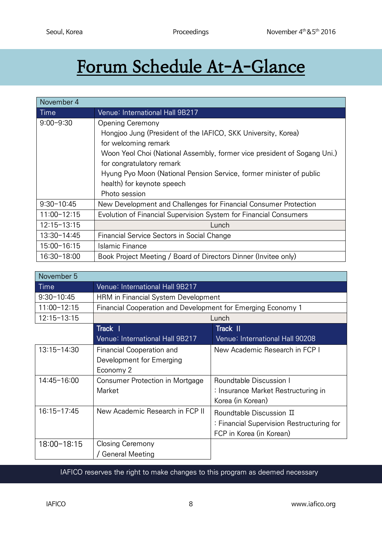# <span id="page-8-0"></span>Forum Schedule At-A-Glance

| November 4      |                                                                          |
|-----------------|--------------------------------------------------------------------------|
| Time            | Venue: International Hall 9B217                                          |
| $9:00 - 9:30$   | <b>Opening Ceremony</b>                                                  |
|                 | Hongjoo Jung (President of the IAFICO, SKK University, Korea)            |
|                 | for welcoming remark                                                     |
|                 | Woon Yeol Choi (National Assembly, former vice president of Sogang Uni.) |
|                 | for congratulatory remark                                                |
|                 | Hyung Pyo Moon (National Pension Service, former minister of public      |
|                 | health) for keynote speech                                               |
|                 | Photo session                                                            |
| $9:30 - 10:45$  | New Development and Challenges for Financial Consumer Protection         |
| $11:00 - 12:15$ | Evolution of Financial Supervision System for Financial Consumers        |
| $12:15 - 13:15$ | Lunch                                                                    |
| 13:30-14:45     | Financial Service Sectors in Social Change                               |
| 15:00-16:15     | Islamic Finance                                                          |
| 16:30-18:00     | Book Project Meeting / Board of Directors Dinner (Invitee only)          |

| November 5      |                                                              |                                           |
|-----------------|--------------------------------------------------------------|-------------------------------------------|
| Time            | Venue: International Hall 9B217                              |                                           |
| $9:30 - 10:45$  | HRM in Financial System Development                          |                                           |
| $11:00 - 12:15$ | Financial Cooperation and Development for Emerging Economy 1 |                                           |
| $12:15 - 13:15$ |                                                              | Lunch                                     |
|                 | Track                                                        | Track II                                  |
|                 | Venue: International Hall 9B217                              | Venue: International Hall 90208           |
| $13:15 - 14:30$ | <b>Financial Cooperation and</b><br>Development for Emerging | New Academic Research in FCP I            |
|                 | Economy 2                                                    |                                           |
| 14:45-16:00     | Consumer Protection in Mortgage                              | <b>Roundtable Discussion I</b>            |
|                 | Market                                                       | : Insurance Market Restructuring in       |
|                 |                                                              | Korea (in Korean)                         |
| 16:15-17:45     | New Academic Research in FCP II                              | Roundtable Discussion II                  |
|                 |                                                              | : Financial Supervision Restructuring for |
|                 |                                                              | FCP in Korea (in Korean)                  |
| 18:00-18:15     | Closing Ceremony                                             |                                           |
|                 | / General Meeting                                            |                                           |

IAFICO reserves the right to make changes to this program as deemed necessary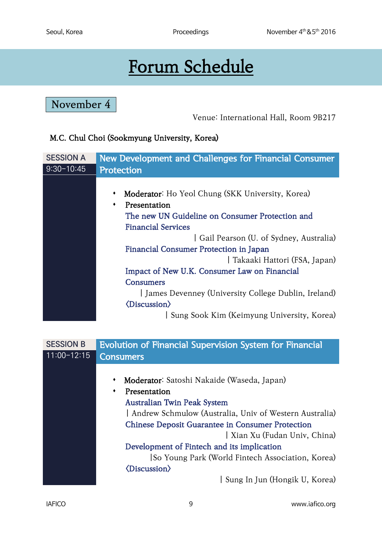# Forum Schedule

<span id="page-9-1"></span><span id="page-9-0"></span>November 4

Venue: International Hall, Room 9B217

#### M.C. Chul Choi (Sookmyung University, Korea)

| <b>SESSION A</b> | New Development and Challenges for Financial Consumer |  |
|------------------|-------------------------------------------------------|--|
| $9:30 - 10:45$   | Protection                                            |  |
|                  |                                                       |  |
|                  | Moderator: Ho Yeol Chung (SKK University, Korea)<br>٠ |  |
|                  | Presentation<br>٠                                     |  |
|                  | The new UN Guideline on Consumer Protection and       |  |
|                  | <b>Financial Services</b>                             |  |
|                  | Gail Pearson (U. of Sydney, Australia)                |  |
|                  | Financial Consumer Protection in Japan                |  |
|                  | Takaaki Hattori (FSA, Japan)                          |  |
|                  | Impact of New U.K. Consumer Law on Financial          |  |
|                  | <b>Consumers</b>                                      |  |
|                  | James Devenney (University College Dublin, Ireland)   |  |
|                  | <b><i><u><b>(Discussion)</b></u></i></b>              |  |
|                  | Sung Sook Kim (Keimyung University, Korea)            |  |
|                  |                                                       |  |

| <b>SESSION B</b> | <b>Evolution of Financial Supervision System for Financial</b> |  |
|------------------|----------------------------------------------------------------|--|
| $11:00-12:15$    | <b>Consumers</b>                                               |  |
|                  |                                                                |  |
|                  | Moderator: Satoshi Nakaide (Waseda, Japan)                     |  |
|                  | Presentation                                                   |  |
|                  | <b>Australian Twin Peak System</b>                             |  |
|                  | Andrew Schmulow (Australia, Univ of Western Australia)         |  |
|                  | <b>Chinese Deposit Guarantee in Consumer Protection</b>        |  |
|                  | Xian Xu (Fudan Univ, China)                                    |  |
|                  | Development of Fintech and its implication                     |  |
|                  | So Young Park (World Fintech Association, Korea)               |  |
|                  | <b><i><u></u></i></b> <i>(Discussion)</i>                      |  |
|                  | Sung In Jun (Hongik U, Korea)                                  |  |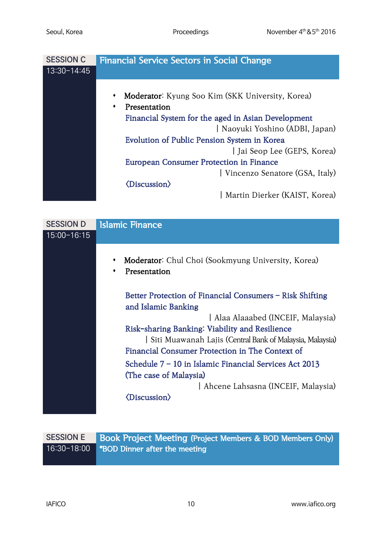| <b>SESSION C</b> | <b>Financial Service Sectors in Social Change</b>     |
|------------------|-------------------------------------------------------|
| $13:30 - 14:45$  |                                                       |
|                  |                                                       |
|                  | Moderator: Kyung Soo Kim (SKK University, Korea)<br>٠ |
|                  | Presentation<br>٠                                     |
|                  | Financial System for the aged in Asian Development    |
|                  | Naoyuki Yoshino (ADBI, Japan)                         |
|                  | Evolution of Public Pension System in Korea           |
|                  | Jai Seop Lee (GEPS, Korea)                            |
|                  | <b>European Consumer Protection in Finance</b>        |
|                  | Vincenzo Senatore (GSA, Italy)                        |
|                  | $\langle Discussion \rangle$                          |
|                  | Martin Dierker (KAIST, Korea)                         |

| <b>SESSION D</b> | <b>Islamic Finance</b>                                                          |  |
|------------------|---------------------------------------------------------------------------------|--|
| $15:00 - 16:15$  |                                                                                 |  |
|                  | Moderator: Chul Choi (Sookmyung University, Korea)<br>٠<br>Presentation         |  |
|                  | Better Protection of Financial Consumers - Risk Shifting<br>and Islamic Banking |  |
|                  | Alaa Alaaabed (INCEIF, Malaysia)                                                |  |
|                  | Risk-sharing Banking: Viability and Resilience                                  |  |
|                  | Siti Muawanah Lajis (Central Bank of Malaysia, Malaysia)                        |  |
|                  | Financial Consumer Protection in The Context of                                 |  |
|                  | Schedule 7 - 10 in Islamic Financial Services Act 2013                          |  |
|                  | (The case of Malaysia)                                                          |  |
|                  | Ahcene Lahsasna (INCEIF, Malaysia)                                              |  |
|                  | <b><i><u><b>(Discussion)</b></u></i></b>                                        |  |
|                  |                                                                                 |  |

| SESSION E | <b>Book Project Meeting (Project Members &amp; BOD Members Only)</b> |
|-----------|----------------------------------------------------------------------|
|           | 16:30-18:00 *BOD Dinner after the meeting                            |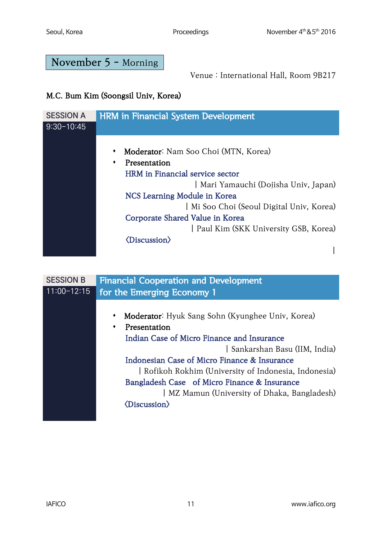### <span id="page-11-0"></span>November 5 - Morning

Venue : International Hall, Room 9B217

### M.C. Bum Kim (Soongsil Univ, Korea)

| <b>SESSION A</b> | <b>HRM in Financial System Development</b> |
|------------------|--------------------------------------------|
| $9:30 - 10:45$   |                                            |
|                  |                                            |
|                  | Moderator: Nam Soo Choi (MTN, Korea)<br>٠  |
|                  | Presentation<br>٠                          |
|                  | HRM in Financial service sector            |
|                  | Mari Yamauchi (Dojisha Univ, Japan)        |
|                  | NCS Learning Module in Korea               |
|                  | Mi Soo Choi (Seoul Digital Univ, Korea)    |
|                  | Corporate Shared Value in Korea            |
|                  | Paul Kim (SKK University GSB, Korea)       |
|                  | <b><i><u>(Discussion)</u></i></b>          |
|                  |                                            |

| <b>SESSION B</b> | <b>Financial Cooperation and Development</b>          |
|------------------|-------------------------------------------------------|
| $11:00 - 12:15$  | for the Emerging Economy 1                            |
|                  |                                                       |
|                  | Moderator: Hyuk Sang Sohn (Kyunghee Univ, Korea)<br>٠ |
|                  | Presentation                                          |
|                  | Indian Case of Micro Finance and Insurance            |
|                  | Sankarshan Basu (IIM, India)                          |
|                  | Indonesian Case of Micro Finance & Insurance          |
|                  | Rofikoh Rokhim (University of Indonesia, Indonesia)   |
|                  | Bangladesh Case of Micro Finance & Insurance          |
|                  | MZ Mamun (University of Dhaka, Bangladesh)            |
|                  | <b><i><u>(Discussion)</u></i></b>                     |
|                  |                                                       |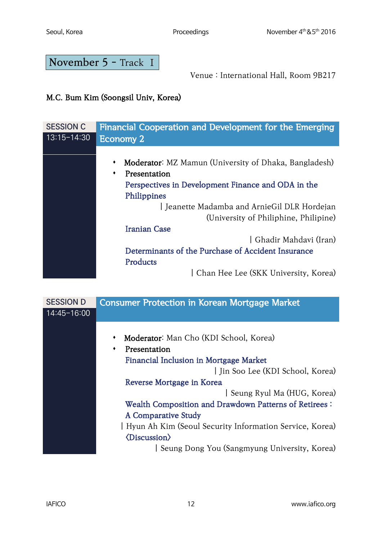<span id="page-12-0"></span>November 5 - Track Ⅰ

Venue : International Hall, Room 9B217

### M.C. Bum Kim (Soongsil Univ, Korea)

| <b>SESSION C</b> | Financial Cooperation and Development for the Emerging                                                                                                                                                                                 |
|------------------|----------------------------------------------------------------------------------------------------------------------------------------------------------------------------------------------------------------------------------------|
| 13:15-14:30      | <b>Economy 2</b>                                                                                                                                                                                                                       |
|                  | Moderator: MZ Mamun (University of Dhaka, Bangladesh)<br>Presentation<br>٠<br>Perspectives in Development Finance and ODA in the<br>Philippines<br>Jeanette Madamba and ArnieGil DLR Hordejan<br>(University of Philiphine, Philipine) |
|                  | <b>Iranian Case</b>                                                                                                                                                                                                                    |
|                  | Ghadir Mahdavi (Iran)                                                                                                                                                                                                                  |
|                  | Determinants of the Purchase of Accident Insurance                                                                                                                                                                                     |
|                  | Products                                                                                                                                                                                                                               |
|                  | Chan Hee Lee (SKK University, Korea)                                                                                                                                                                                                   |

| <b>SESSION D</b> | <b>Consumer Protection in Korean Mortgage Market</b>    |
|------------------|---------------------------------------------------------|
| 14:45-16:00      |                                                         |
|                  |                                                         |
|                  | Moderator: Man Cho (KDI School, Korea)<br>٠             |
|                  | Presentation<br>٠                                       |
|                  | Financial Inclusion in Mortgage Market                  |
|                  | Jin Soo Lee (KDI School, Korea)                         |
|                  | Reverse Mortgage in Korea                               |
|                  | Seung Ryul Ma (HUG, Korea)                              |
|                  | Wealth Composition and Drawdown Patterns of Retirees:   |
|                  | A Comparative Study                                     |
|                  | Hyun Ah Kim (Seoul Security Information Service, Korea) |
|                  | $\langle Discussion \rangle$                            |
|                  | Seung Dong You (Sangmyung University, Korea)            |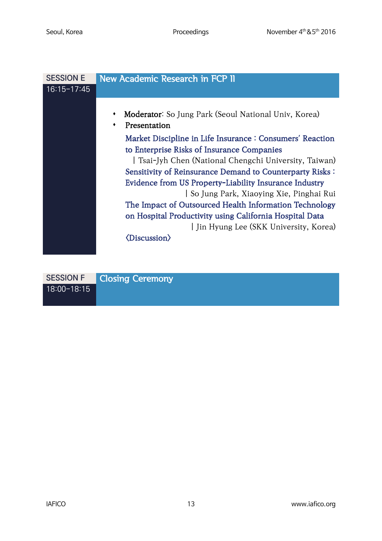| <b>SESSION E</b> | New Academic Research in FCP II                                                                                                                                                                                                                                                                                                                                                                                                                                                                                                                                                   |
|------------------|-----------------------------------------------------------------------------------------------------------------------------------------------------------------------------------------------------------------------------------------------------------------------------------------------------------------------------------------------------------------------------------------------------------------------------------------------------------------------------------------------------------------------------------------------------------------------------------|
| $16:15 - 17:45$  |                                                                                                                                                                                                                                                                                                                                                                                                                                                                                                                                                                                   |
|                  | Moderator: So Jung Park (Seoul National Univ, Korea)<br>٠<br>Presentation<br>Market Discipline in Life Insurance : Consumers' Reaction<br>to Enterprise Risks of Insurance Companies<br>  Tsai-Jyh Chen (National Chengchi University, Taiwan)<br>Sensitivity of Reinsurance Demand to Counterparty Risks:<br>Evidence from US Property-Liability Insurance Industry<br>  So Jung Park, Xiaoying Xie, Pinghai Rui<br>The Impact of Outsourced Health Information Technology<br>on Hospital Productivity using California Hospital Data<br>I Jin Hyung Lee (SKK University, Korea) |
|                  | <b><i><u><b>(Discussion)</b></u></i></b>                                                                                                                                                                                                                                                                                                                                                                                                                                                                                                                                          |

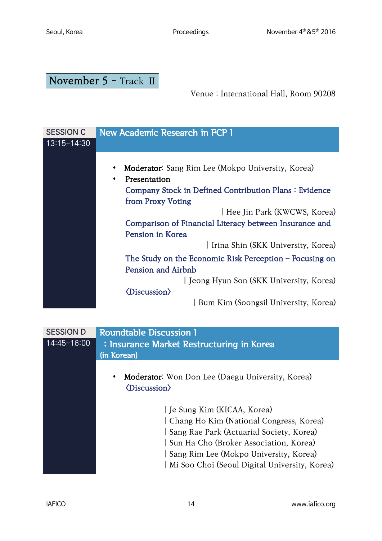## <span id="page-14-0"></span>November 5 - Track II

Venue : International Hall, Room 90208

| <b>SESSION C</b> | New Academic Research in FCP 1                            |
|------------------|-----------------------------------------------------------|
| 13:15-14:30      |                                                           |
|                  |                                                           |
|                  | Moderator: Sang Rim Lee (Mokpo University, Korea)         |
|                  | Presentation<br>٠                                         |
|                  | Company Stock in Defined Contribution Plans: Evidence     |
|                  | from Proxy Voting                                         |
|                  | Hee Jin Park (KWCWS, Korea)                               |
|                  | Comparison of Financial Literacy between Insurance and    |
|                  | Pension in Korea                                          |
|                  | I Irina Shin (SKK University, Korea)                      |
|                  | The Study on the Economic Risk Perception $-$ Focusing on |
|                  | Pension and Airbnb                                        |
|                  | Jeong Hyun Son (SKK University, Korea)                    |
|                  | $\langle \text{Discussion} \rangle$                       |
|                  | Bum Kim (Soongsil University, Korea)                      |

| <b>SESSION D</b> | <b>Roundtable Discussion 1</b>                                                                                                                                                                                                                         |
|------------------|--------------------------------------------------------------------------------------------------------------------------------------------------------------------------------------------------------------------------------------------------------|
| $14:45 - 16:00$  | : Insurance Market Restructuring in Korea<br>(in Korean)                                                                                                                                                                                               |
|                  | Moderator: Won Don Lee (Daegu University, Korea)<br>٠<br><b><i><u></u></i></b> <i>(Discussion)</i>                                                                                                                                                     |
|                  | Je Sung Kim (KICAA, Korea)<br>Chang Ho Kim (National Congress, Korea)<br>Sang Rae Park (Actuarial Society, Korea)<br>Sun Ha Cho (Broker Association, Korea)<br>Sang Rim Lee (Mokpo University, Korea)<br>Mi Soo Choi (Seoul Digital University, Korea) |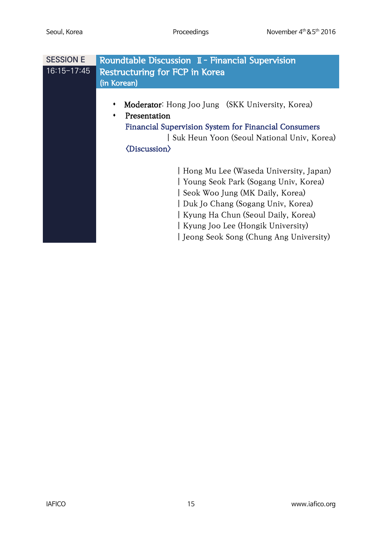| <b>SESSION E</b> | Roundtable Discussion I - Financial Supervision             |
|------------------|-------------------------------------------------------------|
| $16:15 - 17:45$  | <b>Restructuring for FCP in Korea</b>                       |
|                  | (in Korean)                                                 |
|                  |                                                             |
|                  | Moderator: Hong Joo Jung (SKK University, Korea)            |
|                  | Presentation                                                |
|                  | <b>Financial Supervision System for Financial Consumers</b> |
|                  | Suk Heun Yoon (Seoul National Univ, Korea)                  |
|                  | $\langle$ Discussion $\rangle$                              |
|                  |                                                             |
|                  | Hong Mu Lee (Waseda University, Japan)                      |
|                  | Young Seok Park (Sogang Univ, Korea)                        |
|                  | Seok Woo Jung (MK Daily, Korea)                             |
|                  | Duk Jo Chang (Sogang Univ, Korea)                           |
|                  | Kyung Ha Chun (Seoul Daily, Korea)                          |
|                  | Kyung Joo Lee (Hongik University)                           |
|                  | Jeong Seok Song (Chung Ang University)                      |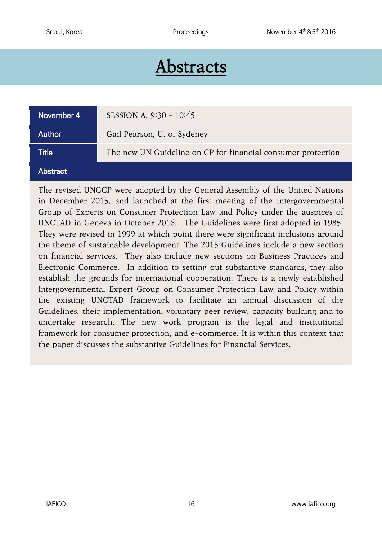## Abstracts

<span id="page-16-0"></span>

| November 4      | SESSION A, 9:30 - 10:45                                      |
|-----------------|--------------------------------------------------------------|
| Author          | Gail Pearson, U. of Sydeney                                  |
| <b>Title</b>    | The new UN Guideline on CP for financial consumer protection |
| <b>Abstract</b> |                                                              |

The revised UNGCP were adopted by the General Assembly of the United Nations in December 2015, and launched at the first meeting of the Intergovernmental Group of Experts on Consumer Protection Law and Policy under the auspices of UNCTAD in Geneva in October 2016. The Guidelines were first adopted in 1985. They were revised in 1999 at which point there were significant inclusions around the theme of sustainable development. The 2015 Guidelines include a new section on financial services. They also include new sections on Business Practices and Electronic Commerce. In addition to setting out substantive standards, they also establish the grounds for international cooperation. There is a newly established Intergovernmental Expert Group on Consumer Protection Law and Policy within the existing UNCTAD framework to facilitate an annual discussion of the Guidelines, their implementation, voluntary peer review, capacity building and to undertake research. The new work program is the legal and institutional framework for consumer protection, and e-commerce. It is within this context that the paper discusses the substantive Guidelines for Financial Services.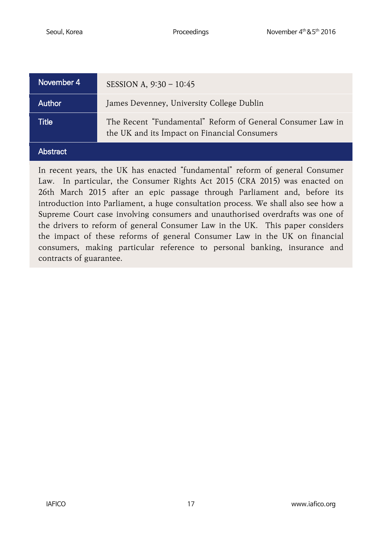| November 4 | SESSION A, $9:30 - 10:45$                                                                                  |
|------------|------------------------------------------------------------------------------------------------------------|
| Author     | James Devenney, University College Dublin                                                                  |
| Title      | The Recent "Fundamental" Reform of General Consumer Law in<br>the UK and its Impact on Financial Consumers |
| 'Abstract  |                                                                                                            |

In recent years, the UK has enacted "fundamental" reform of general Consumer Law. In particular, the Consumer Rights Act 2015 (CRA 2015) was enacted on 26th March 2015 after an epic passage through Parliament and, before its introduction into Parliament, a huge consultation process. We shall also see how a Supreme Court case involving consumers and unauthorised overdrafts was one of the drivers to reform of general Consumer Law in the UK. This paper considers the impact of these reforms of general Consumer Law in the UK on financial consumers, making particular reference to personal banking, insurance and contracts of guarantee.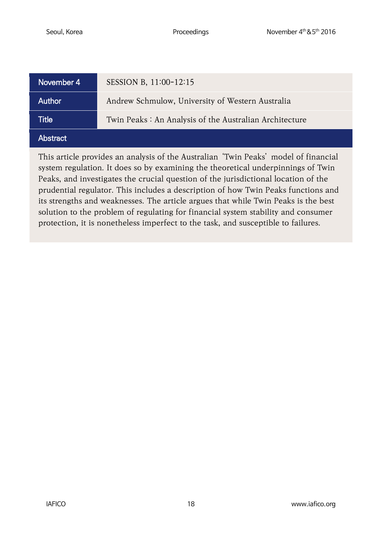| November 4      | SESSION B, 11:00-12:15                                 |
|-----------------|--------------------------------------------------------|
| Author          | Andrew Schmulow, University of Western Australia       |
| Title           | Twin Peaks: An Analysis of the Australian Architecture |
| <b>Abstract</b> |                                                        |

This article provides an analysis of the Australian 'Twin Peaks' model of financial system regulation. It does so by examining the theoretical underpinnings of Twin Peaks, and investigates the crucial question of the jurisdictional location of the prudential regulator. This includes a description of how Twin Peaks functions and its strengths and weaknesses. The article argues that while Twin Peaks is the best solution to the problem of regulating for financial system stability and consumer protection, it is nonetheless imperfect to the task, and susceptible to failures.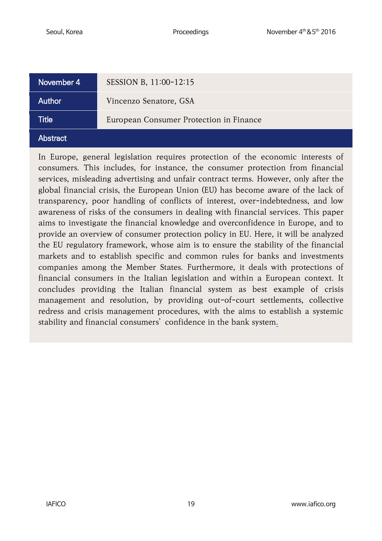| November 4      | SESSION B, 11:00-12:15                  |
|-----------------|-----------------------------------------|
| Author          | Vincenzo Senatore, GSA                  |
| Title           | European Consumer Protection in Finance |
| <b>Abstract</b> |                                         |

In Europe, general legislation requires protection of the economic interests of consumers. This includes, for instance, the consumer protection from financial services, misleading advertising and unfair contract terms. However, only after the global financial crisis, the European Union (EU) has become aware of the lack of transparency, poor handling of conflicts of interest, over-indebtedness, and low awareness of risks of the consumers in dealing with financial services. This paper aims to investigate the financial knowledge and overconfidence in Europe, and to provide an overview of consumer protection policy in EU. Here, it will be analyzed the EU regulatory framework, whose aim is to ensure the stability of the financial markets and to establish specific and common rules for banks and investments companies among the Member States. Furthermore, it deals with protections of financial consumers in the Italian legislation and within a European context. It concludes providing the Italian financial system as best example of crisis management and resolution, by providing out-of-court settlements, collective redress and crisis management procedures, with the aims to establish a systemic stability and financial consumers' confidence in the bank system.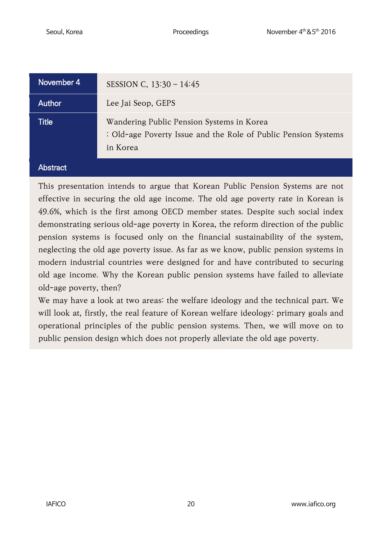| November 4   | SESSION C, $13:30 - 14:45$                                                                                              |
|--------------|-------------------------------------------------------------------------------------------------------------------------|
| Author       | Lee Jai Seop, GEPS                                                                                                      |
| <b>Title</b> | Wandering Public Pension Systems in Korea<br>: Old-age Poverty Issue and the Role of Public Pension Systems<br>in Korea |

#### **Abstract**

This presentation intends to argue that Korean Public Pension Systems are not effective in securing the old age income. The old age poverty rate in Korean is 49.6%, which is the first among OECD member states. Despite such social index demonstrating serious old-age poverty in Korea, the reform direction of the public pension systems is focused only on the financial sustainability of the system, neglecting the old age poverty issue. As far as we know, public pension systems in modern industrial countries were designed for and have contributed to securing old age income. Why the Korean public pension systems have failed to alleviate old-age poverty, then?

We may have a look at two areas: the welfare ideology and the technical part. We will look at, firstly, the real feature of Korean welfare ideology: primary goals and operational principles of the public pension systems. Then, we will move on to public pension design which does not properly alleviate the old age poverty.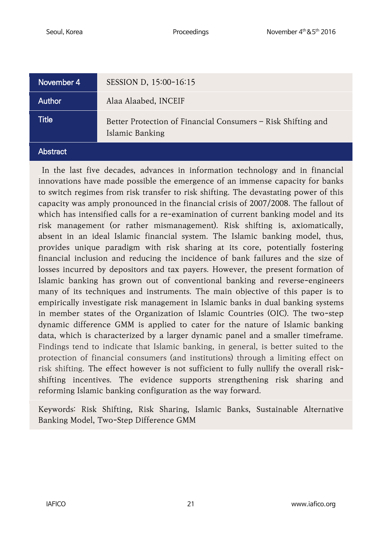| November 4 | SESSION D, 15:00-16:15                                                          |
|------------|---------------------------------------------------------------------------------|
| Author     | Alaa Alaabed, INCEIF                                                            |
| Title      | Better Protection of Financial Consumers – Risk Shifting and<br>Islamic Banking |
| Abstract   |                                                                                 |

In the last five decades, advances in information technology and in financial innovations have made possible the emergence of an immense capacity for banks to switch regimes from risk transfer to risk shifting. The devastating power of this capacity was amply pronounced in the financial crisis of 2007/2008. The fallout of which has intensified calls for a re-examination of current banking model and its risk management (or rather mismanagement). Risk shifting is, axiomatically, absent in an ideal Islamic financial system. The Islamic banking model, thus, provides unique paradigm with risk sharing at its core, potentially fostering financial inclusion and reducing the incidence of bank failures and the size of losses incurred by depositors and tax payers. However, the present formation of Islamic banking has grown out of conventional banking and reverse-engineers many of its techniques and instruments. The main objective of this paper is to empirically investigate risk management in Islamic banks in dual banking systems in member states of the Organization of Islamic Countries (OIC). The two-step dynamic difference GMM is applied to cater for the nature of Islamic banking data, which is characterized by a larger dynamic panel and a smaller timeframe. Findings tend to indicate that Islamic banking, in general, is better suited to the protection of financial consumers (and institutions) through a limiting effect on risk shifting. The effect however is not sufficient to fully nullify the overall riskshifting incentives. The evidence supports strengthening risk sharing and reforming Islamic banking configuration as the way forward.

Keywords: Risk Shifting, Risk Sharing, Islamic Banks, Sustainable Alternative Banking Model, Two-Step Difference GMM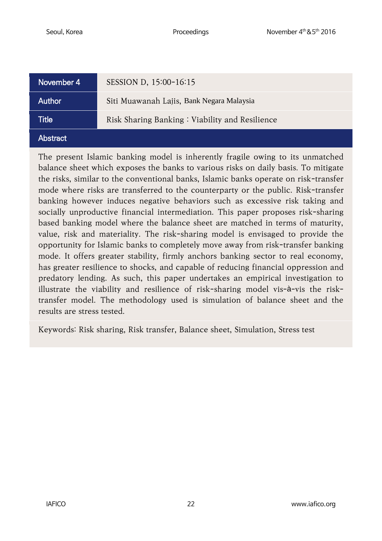| November 4      | SESSION D, 15:00-16:15                         |
|-----------------|------------------------------------------------|
| <b>Author</b>   | Siti Muawanah Lajis, Bank Negara Malaysia      |
| Title           | Risk Sharing Banking: Viability and Resilience |
| <b>Abstract</b> |                                                |

The present Islamic banking model is inherently fragile owing to its unmatched balance sheet which exposes the banks to various risks on daily basis. To mitigate the risks, similar to the conventional banks, Islamic banks operate on risk-transfer mode where risks are transferred to the counterparty or the public. Risk-transfer banking however induces negative behaviors such as excessive risk taking and socially unproductive financial intermediation. This paper proposes risk-sharing based banking model where the balance sheet are matched in terms of maturity, value, risk and materiality. The risk-sharing model is envisaged to provide the opportunity for Islamic banks to completely move away from risk-transfer banking mode. It offers greater stability, firmly anchors banking sector to real economy, has greater resilience to shocks, and capable of reducing financial oppression and predatory lending. As such, this paper undertakes an empirical investigation to illustrate the viability and resilience of risk-sharing model vis-à-vis the risktransfer model. The methodology used is simulation of balance sheet and the results are stress tested.

Keywords: Risk sharing, Risk transfer, Balance sheet, Simulation, Stress test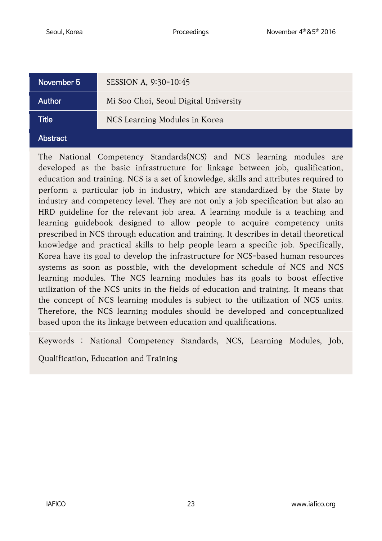| November 5      | SESSION A, 9:30-10:45                 |
|-----------------|---------------------------------------|
| Author          | Mi Soo Choi, Seoul Digital University |
| Title           | NCS Learning Modules in Korea         |
| <b>Abstract</b> |                                       |

The National Competency Standards(NCS) and NCS learning modules are developed as the basic infrastructure for linkage between job, qualification, education and training. NCS is a set of knowledge, skills and attributes required to perform a particular job in industry, which are standardized by the State by industry and competency level. They are not only a job specification but also an HRD guideline for the relevant job area. A learning module is a teaching and learning guidebook designed to allow people to acquire competency units prescribed in NCS through education and training. It describes in detail theoretical knowledge and practical skills to help people learn a specific job. Specifically, Korea have its goal to develop the infrastructure for NCS-based human resources systems as soon as possible, with the development schedule of NCS and NCS learning modules. The NCS learning modules has its goals to boost effective utilization of the NCS units in the fields of education and training. It means that the concept of NCS learning modules is subject to the utilization of NCS units. Therefore, the NCS learning modules should be developed and conceptualized based upon the its linkage between education and qualifications.

Keywords : National Competency Standards, NCS, Learning Modules, Job,

Qualification, Education and Training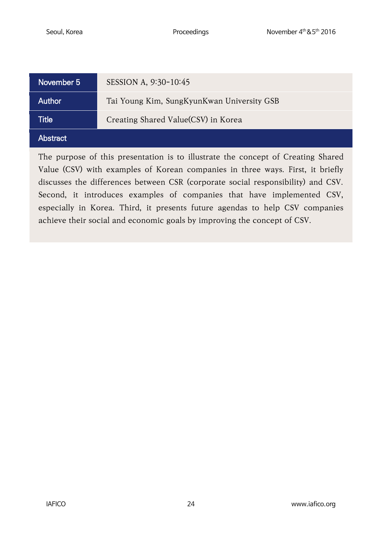| November 5    | SESSION A, 9:30-10:45                      |
|---------------|--------------------------------------------|
| <b>Author</b> | Tai Young Kim, SungKyunKwan University GSB |
| Title         | Creating Shared Value(CSV) in Korea        |
| Abstract      |                                            |

The purpose of this presentation is to illustrate the concept of Creating Shared Value (CSV) with examples of Korean companies in three ways. First, it briefly discusses the differences between CSR (corporate social responsibility) and CSV. Second, it introduces examples of companies that have implemented CSV, especially in Korea. Third, it presents future agendas to help CSV companies achieve their social and economic goals by improving the concept of CSV.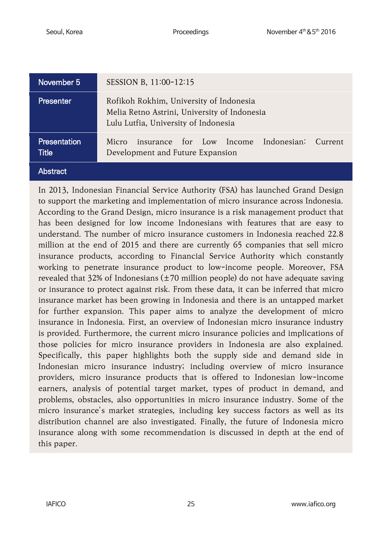| November 5                   | SESSION B, 11:00-12:15                                                                                                          |
|------------------------------|---------------------------------------------------------------------------------------------------------------------------------|
| Presenter                    | Rofikoh Rokhim, University of Indonesia<br>Melia Retno Astrini, University of Indonesia<br>Lulu Lutfia, University of Indonesia |
| <b>Presentation</b><br>Title | insurance for Low Income Indonesian:<br>Micro<br>Current<br>Development and Future Expansion                                    |
| Abstract                     |                                                                                                                                 |

In 2013, Indonesian Financial Service Authority (FSA) has launched Grand Design to support the marketing and implementation of micro insurance across Indonesia. According to the Grand Design, micro insurance is a risk management product that has been designed for low income Indonesians with features that are easy to understand. The number of micro insurance customers in Indonesia reached 22.8 million at the end of 2015 and there are currently 65 companies that sell micro insurance products, according to Financial Service Authority which constantly working to penetrate insurance product to low-income people. Moreover, FSA revealed that 32% of Indonesians (±70 million people) do not have adequate saving or insurance to protect against risk. From these data, it can be inferred that micro insurance market has been growing in Indonesia and there is an untapped market for further expansion. This paper aims to analyze the development of micro insurance in Indonesia. First, an overview of Indonesian micro insurance industry is provided. Furthermore, the current micro insurance policies and implications of those policies for micro insurance providers in Indonesia are also explained. Specifically, this paper highlights both the supply side and demand side in Indonesian micro insurance industry; including overview of micro insurance providers, micro insurance products that is offered to Indonesian low-income earners, analysis of potential target market, types of product in demand, and problems, obstacles, also opportunities in micro insurance industry. Some of the micro insurance's market strategies, including key success factors as well as its distribution channel are also investigated. Finally, the future of Indonesia micro insurance along with some recommendation is discussed in depth at the end of this paper.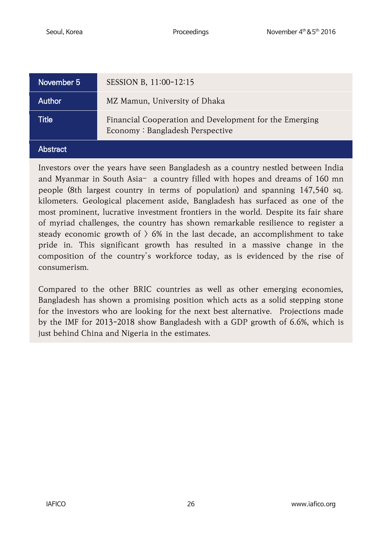| November 5'   | SESSION B, 11:00-12:15                                                                    |
|---------------|-------------------------------------------------------------------------------------------|
| <b>Author</b> | MZ Mamun, University of Dhaka                                                             |
| Title         | Financial Cooperation and Development for the Emerging<br>Economy: Bangladesh Perspective |
| Abstract      |                                                                                           |

Investors over the years have seen Bangladesh as a country nestled between India and Myanmar in South Asia– a country filled with hopes and dreams of 160 mn people (8th largest country in terms of population) and spanning 147,540 sq. kilometers. Geological placement aside, Bangladesh has surfaced as one of the most prominent, lucrative investment frontiers in the world. Despite its fair share of myriad challenges, the country has shown remarkable resilience to register a steady economic growth of  $\rangle$  6% in the last decade, an accomplishment to take pride in. This significant growth has resulted in a massive change in the composition of the country's workforce today, as is evidenced by the rise of consumerism.

Compared to the other BRIC countries as well as other emerging economies, Bangladesh has shown a promising position which acts as a solid stepping stone for the investors who are looking for the next best alternative. Projections made by the IMF for 2013-2018 show Bangladesh with a GDP growth of 6.6%, which is just behind China and Nigeria in the estimates.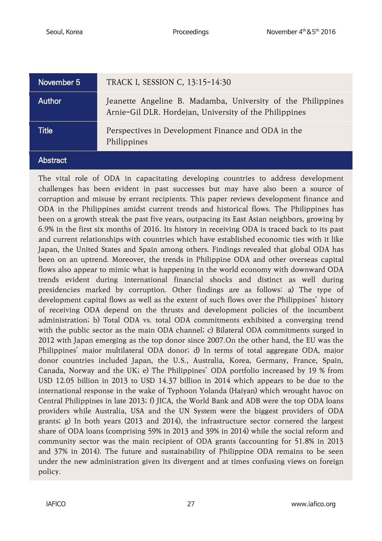| November 5      | TRACK I, SESSION C, 13:15-14:30                                                                                       |
|-----------------|-----------------------------------------------------------------------------------------------------------------------|
| <b>Author</b>   | Jeanette Angeline B. Madamba, University of the Philippines<br>Arnie-Gil DLR. Hordejan, University of the Philippines |
| Title           | Perspectives in Development Finance and ODA in the<br>Philippines                                                     |
| <b>Abstract</b> |                                                                                                                       |

The vital role of ODA in capacitating developing countries to address development challenges has been evident in past successes but may have also been a source of corruption and misuse by errant recipients. This paper reviews development finance and ODA in the Philippines amidst current trends and historical flows. The Philippines has been on a growth streak the past five years, outpacing its East Asian neighbors, growing by 6.9% in the first six months of 2016. Its history in receiving ODA is traced back to its past and current relationships with countries which have established economic ties with it like Japan, the United States and Spain among others. Findings revealed that global ODA has been on an uptrend. Moreover, the trends in Philippine ODA and other overseas capital flows also appear to mimic what is happening in the world economy with downward ODA trends evident during international financial shocks and distinct as well during presidencies marked by corruption. Other findings are as follows: a) The type of development capital flows as well as the extent of such flows over the Philippines' history of receiving ODA depend on the thrusts and development policies of the incumbent administration; b) Total ODA vs. total ODA commitments exhibited a converging trend with the public sector as the main ODA channel; c) Bilateral ODA commitments surged in 2012 with Japan emerging as the top donor since 2007.On the other hand, the EU was the Philippines' major multilateral ODA donor; d) In terms of total aggregate ODA, major donor countries included Japan, the U.S., Australia, Korea, Germany, France, Spain, Canada, Norway and the UK; e) The Philippines' ODA portfolio increased by 19 % from USD 12.05 billion in 2013 to USD 14.37 billion in 2014 which appears to be due to the international response in the wake of Typhoon Yolanda (Haiyan) which wrought havoc on Central Philippines in late 2013; f) JICA, the World Bank and ADB were the top ODA loans providers while Australia, USA and the UN System were the biggest providers of ODA grants; g) In both years (2013 and 2014), the infrastructure sector cornered the largest share of ODA loans (comprising 59% in 2013 and 39% in 2014) while the social reform and community sector was the main recipient of ODA grants (accounting for 51.8% in 2013 and 37% in 2014). The future and sustainability of Philippine ODA remains to be seen under the new administration given its divergent and at times confusing views on foreign policy.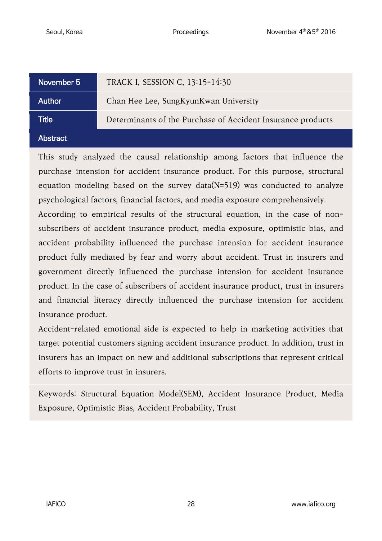| November 5    | TRACK I, SESSION C, 13:15-14:30                             |
|---------------|-------------------------------------------------------------|
| <b>Author</b> | Chan Hee Lee, SungKyunKwan University                       |
| Title         | Determinants of the Purchase of Accident Insurance products |
| Abstract      |                                                             |

This study analyzed the causal relationship among factors that influence the purchase intension for accident insurance product. For this purpose, structural equation modeling based on the survey data(N=519) was conducted to analyze psychological factors, financial factors, and media exposure comprehensively.

According to empirical results of the structural equation, in the case of nonsubscribers of accident insurance product, media exposure, optimistic bias, and accident probability influenced the purchase intension for accident insurance product fully mediated by fear and worry about accident. Trust in insurers and government directly influenced the purchase intension for accident insurance product. In the case of subscribers of accident insurance product, trust in insurers and financial literacy directly influenced the purchase intension for accident insurance product.

Accident-related emotional side is expected to help in marketing activities that target potential customers signing accident insurance product. In addition, trust in insurers has an impact on new and additional subscriptions that represent critical efforts to improve trust in insurers.

Keywords: Structural Equation Model(SEM), Accident Insurance Product, Media Exposure, Optimistic Bias, Accident Probability, Trust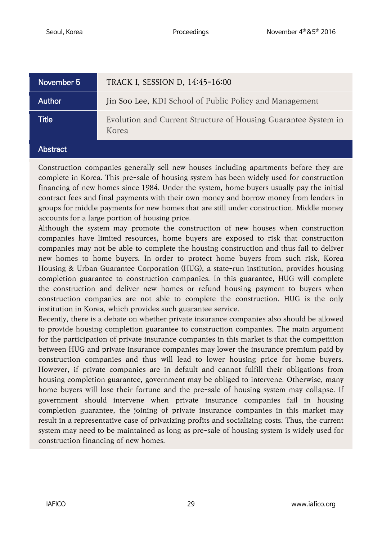| November 5'     | TRACK I, SESSION D, 14:45-16:00                                         |
|-----------------|-------------------------------------------------------------------------|
| Author          | Jin Soo Lee, KDI School of Public Policy and Management                 |
| Title           | Evolution and Current Structure of Housing Guarantee System in<br>Korea |
| <b>Abstract</b> |                                                                         |

Construction companies generally sell new houses including apartments before they are complete in Korea. This pre-sale of housing system has been widely used for construction financing of new homes since 1984. Under the system, home buyers usually pay the initial contract fees and final payments with their own money and borrow money from lenders in groups for middle payments for new homes that are still under construction. Middle money accounts for a large portion of housing price.

Although the system may promote the construction of new houses when construction companies have limited resources, home buyers are exposed to risk that construction companies may not be able to complete the housing construction and thus fail to deliver new homes to home buyers. In order to protect home buyers from such risk, Korea Housing & Urban Guarantee Corporation (HUG), a state-run institution, provides housing completion guarantee to construction companies. In this guarantee, HUG will complete the construction and deliver new homes or refund housing payment to buyers when construction companies are not able to complete the construction. HUG is the only institution in Korea, which provides such guarantee service.

Recently, there is a debate on whether private insurance companies also should be allowed to provide housing completion guarantee to construction companies. The main argument for the participation of private insurance companies in this market is that the competition between HUG and private insurance companies may lower the insurance premium paid by construction companies and thus will lead to lower housing price for home buyers. However, if private companies are in default and cannot fulfill their obligations from housing completion guarantee, government may be obliged to intervene. Otherwise, many home buyers will lose their fortune and the pre-sale of housing system may collapse. If government should intervene when private insurance companies fail in housing completion guarantee, the joining of private insurance companies in this market may result in a representative case of privatizing profits and socializing costs. Thus, the current system may need to be maintained as long as pre-sale of housing system is widely used for construction financing of new homes.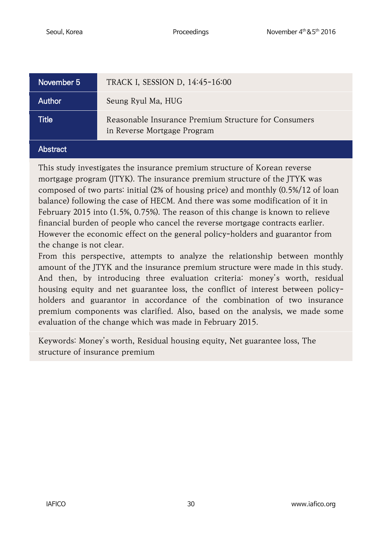| November 5 | TRACK I, SESSION D, 14:45-16:00                                                     |
|------------|-------------------------------------------------------------------------------------|
| Author     | Seung Ryul Ma, HUG                                                                  |
| Title      | Reasonable Insurance Premium Structure for Consumers<br>in Reverse Mortgage Program |
| Abstract   |                                                                                     |

This study investigates the insurance premium structure of Korean reverse mortgage program (JTYK). The insurance premium structure of the JTYK was composed of two parts: initial (2% of housing price) and monthly (0.5%/12 of loan balance) following the case of HECM. And there was some modification of it in February 2015 into (1.5%, 0.75%). The reason of this change is known to relieve financial burden of people who cancel the reverse mortgage contracts earlier. However the economic effect on the general policy-holders and guarantor from the change is not clear.

From this perspective, attempts to analyze the relationship between monthly amount of the JTYK and the insurance premium structure were made in this study. And then, by introducing three evaluation criteria: money's worth, residual housing equity and net guarantee loss, the conflict of interest between policyholders and guarantor in accordance of the combination of two insurance premium components was clarified. Also, based on the analysis, we made some evaluation of the change which was made in February 2015.

Keywords: Money's worth, Residual housing equity, Net guarantee loss, The structure of insurance premium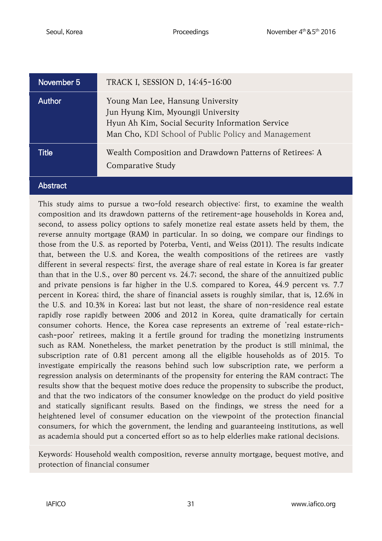| November 5   | TRACK I, SESSION D, 14:45-16:00                                                                                                                                                    |
|--------------|------------------------------------------------------------------------------------------------------------------------------------------------------------------------------------|
| Author       | Young Man Lee, Hansung University<br>Jun Hyung Kim, Myoungji University<br>Hyun Ah Kim, Social Security Information Service<br>Man Cho, KDI School of Public Policy and Management |
| <b>Title</b> | Wealth Composition and Drawdown Patterns of Retirees: A<br>Comparative Study                                                                                                       |
| Abstract     |                                                                                                                                                                                    |

This study aims to pursue a two-fold research objective: first, to examine the wealth composition and its drawdown patterns of the retirement-age households in Korea and, second, to assess policy options to safely monetize real estate assets held by them, the reverse annuity mortgage (RAM) in particular. In so doing, we compare our findings to those from the U.S. as reported by Poterba, Venti, and Weiss (2011). The results indicate that, between the U.S. and Korea, the wealth compositions of the retirees are vastly different in several respects: first, the average share of real estate in Korea is far greater than that in the U.S., over 80 percent vs. 24.7; second, the share of the annuitized public and private pensions is far higher in the U.S. compared to Korea, 44.9 percent vs. 7.7 percent in Korea; third, the share of financial assets is roughly similar, that is, 12.6% in the U.S. and 10.3% in Korea; last but not least, the share of non-residence real estate rapidly rose rapidly between 2006 and 2012 in Korea, quite dramatically for certain consumer cohorts. Hence, the Korea case represents an extreme of 'real estate-richcash-poor' retirees, making it a fertile ground for trading the monetizing instruments such as RAM. Nonetheless, the market penetration by the product is still minimal, the subscription rate of 0.81 percent among all the eligible households as of 2015. To investigate empirically the reasons behind such low subscription rate, we perform a regression analysis on determinants of the propensity for entering the RAM contract; The results show that the bequest motive does reduce the propensity to subscribe the product, and that the two indicators of the consumer knowledge on the product do yield positive and statically significant results. Based on the findings, we stress the need for a heightened level of consumer education on the viewpoint of the protection financial consumers, for which the government, the lending and guaranteeing institutions, as well as academia should put a concerted effort so as to help elderlies make rational decisions.

Keywords: Household wealth composition, reverse annuity mortgage, bequest motive, and protection of financial consumer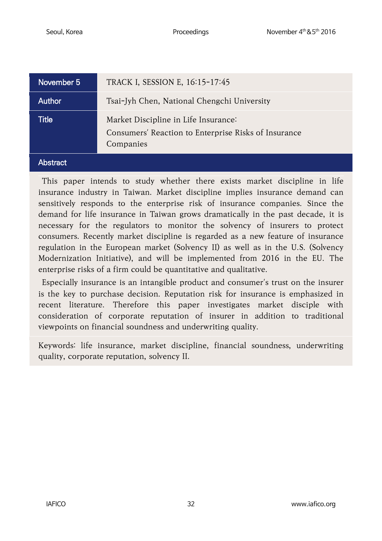| November 5    | TRACK I, SESSION E, 16:15-17:45                                                                           |
|---------------|-----------------------------------------------------------------------------------------------------------|
| <b>Author</b> | Tsai-Jyh Chen, National Chengchi University                                                               |
| <b>Title</b>  | Market Discipline in Life Insurance:<br>Consumers' Reaction to Enterprise Risks of Insurance<br>Companies |
| bstract       |                                                                                                           |

This paper intends to study whether there exists market discipline in life insurance industry in Taiwan. Market discipline implies insurance demand can sensitively responds to the enterprise risk of insurance companies. Since the demand for life insurance in Taiwan grows dramatically in the past decade, it is necessary for the regulators to monitor the solvency of insurers to protect consumers. Recently market discipline is regarded as a new feature of insurance regulation in the European market (Solvency II) as well as in the U.S. (Solvency Modernization Initiative), and will be implemented from 2016 in the EU. The enterprise risks of a firm could be quantitative and qualitative.

Especially insurance is an intangible product and consumer's trust on the insurer is the key to purchase decision. Reputation risk for insurance is emphasized in recent literature. Therefore this paper investigates market disciple with consideration of corporate reputation of insurer in addition to traditional viewpoints on financial soundness and underwriting quality.

Keywords: life insurance, market discipline, financial soundness, underwriting quality, corporate reputation, solvency II.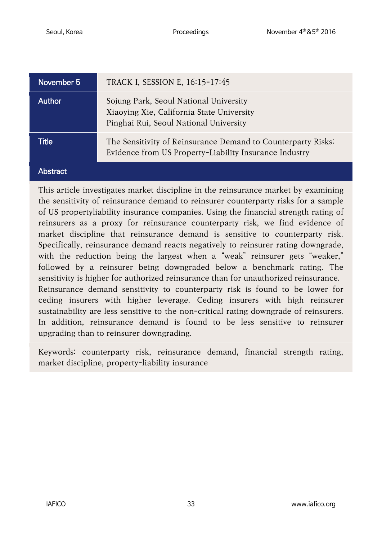| November 5      | TRACK I, SESSION E, 16:15-17:45                                                                                               |
|-----------------|-------------------------------------------------------------------------------------------------------------------------------|
| Author          | Sojung Park, Seoul National University<br>Xiaoying Xie, California State University<br>Pinghai Rui, Seoul National University |
| <b>Title</b>    | The Sensitivity of Reinsurance Demand to Counterparty Risks:<br>Evidence from US Property-Liability Insurance Industry        |
| <b>Abstract</b> |                                                                                                                               |

This article investigates market discipline in the reinsurance market by examining the sensitivity of reinsurance demand to reinsurer counterparty risks for a sample of US propertyliability insurance companies. Using the financial strength rating of reinsurers as a proxy for reinsurance counterparty risk, we find evidence of market discipline that reinsurance demand is sensitive to counterparty risk. Specifically, reinsurance demand reacts negatively to reinsurer rating downgrade, with the reduction being the largest when a "weak" reinsurer gets "weaker," followed by a reinsurer being downgraded below a benchmark rating. The sensitivity is higher for authorized reinsurance than for unauthorized reinsurance. Reinsurance demand sensitivity to counterparty risk is found to be lower for ceding insurers with higher leverage. Ceding insurers with high reinsurer sustainability are less sensitive to the non-critical rating downgrade of reinsurers. In addition, reinsurance demand is found to be less sensitive to reinsurer upgrading than to reinsurer downgrading.

Keywords: counterparty risk, reinsurance demand, financial strength rating, market discipline, property-liability insurance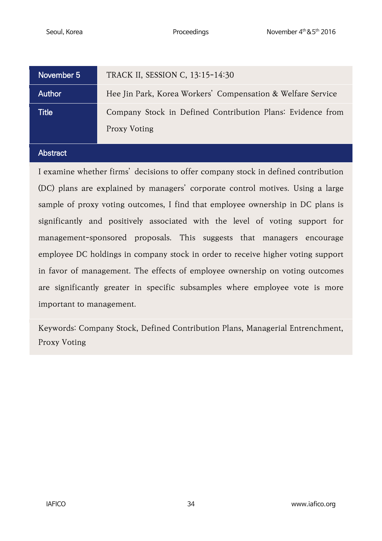| November 5   | TRACK II, SESSION C, 13:15-14:30                                                  |
|--------------|-----------------------------------------------------------------------------------|
| Author       | Hee Jin Park, Korea Workers' Compensation & Welfare Service                       |
| <b>Title</b> | Company Stock in Defined Contribution Plans: Evidence from<br><b>Proxy Voting</b> |

#### **Abstract**

I examine whether firms' decisions to offer company stock in defined contribution (DC) plans are explained by managers' corporate control motives. Using a large sample of proxy voting outcomes, I find that employee ownership in DC plans is significantly and positively associated with the level of voting support for management-sponsored proposals. This suggests that managers encourage employee DC holdings in company stock in order to receive higher voting support in favor of management. The effects of employee ownership on voting outcomes are significantly greater in specific subsamples where employee vote is more important to management.

Keywords: Company Stock, Defined Contribution Plans, Managerial Entrenchment, Proxy Voting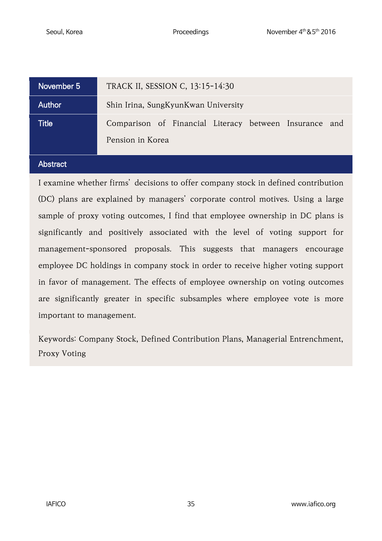| November 5 | TRACK II, SESSION C, 13:15-14:30                                           |
|------------|----------------------------------------------------------------------------|
| Author     | Shin Irina, SungKyunKwan University                                        |
| Title      | Comparison of Financial Literacy between Insurance and<br>Pension in Korea |

#### **Abstract**

I examine whether firms' decisions to offer company stock in defined contribution (DC) plans are explained by managers' corporate control motives. Using a large sample of proxy voting outcomes, I find that employee ownership in DC plans is significantly and positively associated with the level of voting support for management-sponsored proposals. This suggests that managers encourage employee DC holdings in company stock in order to receive higher voting support in favor of management. The effects of employee ownership on voting outcomes are significantly greater in specific subsamples where employee vote is more important to management.

Keywords: Company Stock, Defined Contribution Plans, Managerial Entrenchment, Proxy Voting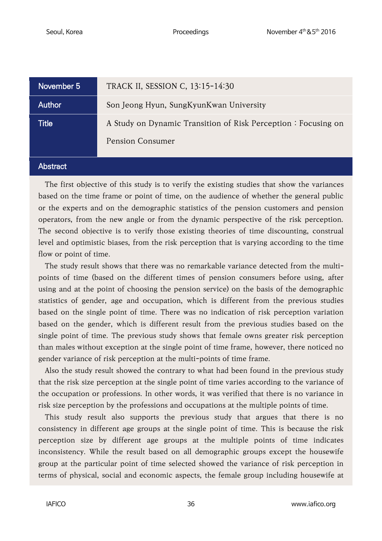| November 5   | TRACK II, SESSION C, 13:15-14:30                                                         |
|--------------|------------------------------------------------------------------------------------------|
| Author       | Son Jeong Hyun, SungKyunKwan University                                                  |
| <b>Title</b> | A Study on Dynamic Transition of Risk Perception: Focusing on<br><b>Pension Consumer</b> |
| bstract      |                                                                                          |

The first objective of this study is to verify the existing studies that show the variances based on the time frame or point of time, on the audience of whether the general public or the experts and on the demographic statistics of the pension customers and pension operators, from the new angle or from the dynamic perspective of the risk perception. The second objective is to verify those existing theories of time discounting, construal level and optimistic biases, from the risk perception that is varying according to the time flow or point of time.

The study result shows that there was no remarkable variance detected from the multipoints of time (based on the different times of pension consumers before using, after using and at the point of choosing the pension service) on the basis of the demographic statistics of gender, age and occupation, which is different from the previous studies based on the single point of time. There was no indication of risk perception variation based on the gender, which is different result from the previous studies based on the single point of time. The previous study shows that female owns greater risk perception than males without exception at the single point of time frame, however, there noticed no gender variance of risk perception at the multi-points of time frame.

Also the study result showed the contrary to what had been found in the previous study that the risk size perception at the single point of time varies according to the variance of the occupation or professions. In other words, it was verified that there is no variance in risk size perception by the professions and occupations at the multiple points of time.

This study result also supports the previous study that argues that there is no consistency in different age groups at the single point of time. This is because the risk perception size by different age groups at the multiple points of time indicates inconsistency. While the result based on all demographic groups except the housewife group at the particular point of time selected showed the variance of risk perception in terms of physical, social and economic aspects, the female group including housewife at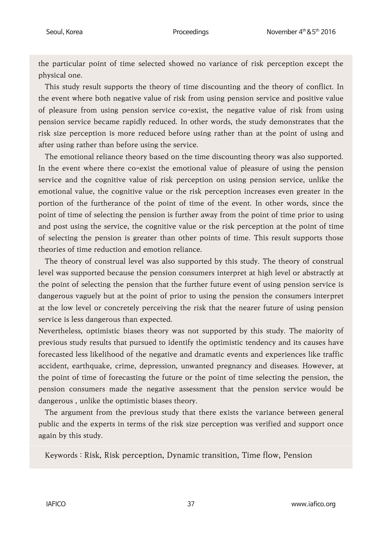the particular point of time selected showed no variance of risk perception except the physical one.

This study result supports the theory of time discounting and the theory of conflict. In the event where both negative value of risk from using pension service and positive value of pleasure from using pension service co-exist, the negative value of risk from using pension service became rapidly reduced. In other words, the study demonstrates that the risk size perception is more reduced before using rather than at the point of using and after using rather than before using the service.

The emotional reliance theory based on the time discounting theory was also supported. In the event where there co-exist the emotional value of pleasure of using the pension service and the cognitive value of risk perception on using pension service, unlike the emotional value, the cognitive value or the risk perception increases even greater in the portion of the furtherance of the point of time of the event. In other words, since the point of time of selecting the pension is further away from the point of time prior to using and post using the service, the cognitive value or the risk perception at the point of time of selecting the pension is greater than other points of time. This result supports those theories of time reduction and emotion reliance.

The theory of construal level was also supported by this study. The theory of construal level was supported because the pension consumers interpret at high level or abstractly at the point of selecting the pension that the further future event of using pension service is dangerous vaguely but at the point of prior to using the pension the consumers interpret at the low level or concretely perceiving the risk that the nearer future of using pension service is less dangerous than expected.

Nevertheless, optimistic biases theory was not supported by this study. The majority of previous study results that pursued to identify the optimistic tendency and its causes have forecasted less likelihood of the negative and dramatic events and experiences like traffic accident, earthquake, crime, depression, unwanted pregnancy and diseases. However, at the point of time of forecasting the future or the point of time selecting the pension, the pension consumers made the negative assessment that the pension service would be dangerous , unlike the optimistic biases theory.

The argument from the previous study that there exists the variance between general public and the experts in terms of the risk size perception was verified and support once again by this study.

Keywords : Risk, Risk perception, Dynamic transition, Time flow, Pension